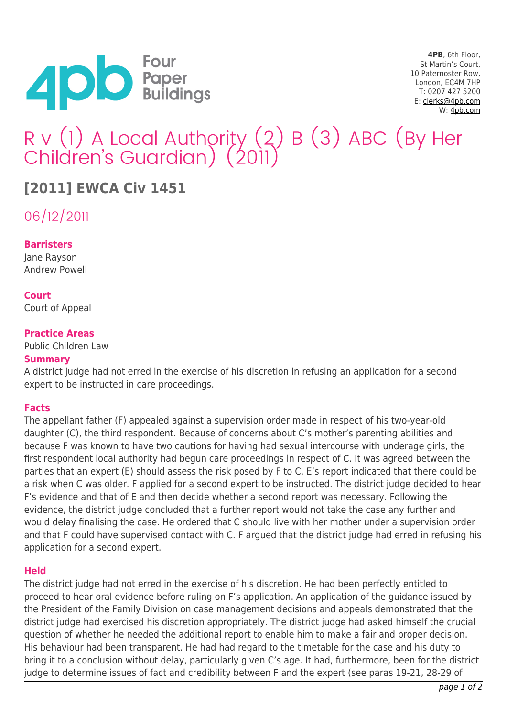

**4PB**, 6th Floor, St Martin's Court, 10 Paternoster Row, London, EC4M 7HP T: 0207 427 5200 E: [clerks@4pb.com](mailto:clerks@4pb.com) W: [4pb.com](http://4pb.com)

# R v (1) A Local Authority (2) B (3) ABC (By Her Children's Guardian) (2011)

# **[2011] EWCA Civ 1451**

06/12/2011

# **Barristers**

Jane Rayson Andrew Powell

## **Court**

Court of Appeal

## **Practice Areas**

Public Children Law

#### **Summary**

A district judge had not erred in the exercise of his discretion in refusing an application for a second expert to be instructed in care proceedings.

#### **Facts**

The appellant father (F) appealed against a supervision order made in respect of his two-year-old daughter (C), the third respondent. Because of concerns about C's mother's parenting abilities and because F was known to have two cautions for having had sexual intercourse with underage girls, the first respondent local authority had begun care proceedings in respect of C. It was agreed between the parties that an expert (E) should assess the risk posed by F to C. E's report indicated that there could be a risk when C was older. F applied for a second expert to be instructed. The district judge decided to hear F's evidence and that of E and then decide whether a second report was necessary. Following the evidence, the district judge concluded that a further report would not take the case any further and would delay finalising the case. He ordered that C should live with her mother under a supervision order and that F could have supervised contact with C. F argued that the district judge had erred in refusing his application for a second expert.

#### **Held**

The district judge had not erred in the exercise of his discretion. He had been perfectly entitled to proceed to hear oral evidence before ruling on F's application. An application of the guidance issued by the President of the Family Division on case management decisions and appeals demonstrated that the district judge had exercised his discretion appropriately. The district judge had asked himself the crucial question of whether he needed the additional report to enable him to make a fair and proper decision. His behaviour had been transparent. He had had regard to the timetable for the case and his duty to bring it to a conclusion without delay, particularly given C's age. It had, furthermore, been for the district judge to determine issues of fact and credibility between F and the expert (see paras 19-21, 28-29 of